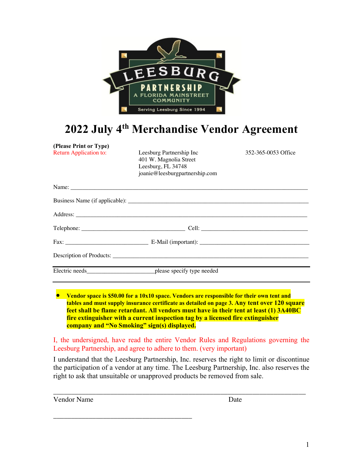

# **2022 July 4th Merchandise Vendor Agreement**

**(Please Print or Type)** 

Return Application to: Leesburg Partnership Inc 352-365-0053 Office 401 W. Magnolia Street Leesburg, FL 34748 joanie@leesburgpartnership.com

| Electric needs_______________________________please specify type needed |  |
|-------------------------------------------------------------------------|--|

• **Vendor space is \$50.00 for a 10x10 space. Vendors are responsible for their own tent and tables and must supply insurance certificate as detailed on page 3. Any tent over 120 square feet shall be flame retardant. All vendors must have in their tent at least (1) 3A40BC fire extinguisher with a current inspection tag by a licensed fire extinguisher company and "No Smoking" sign(s) displayed.**

I, the undersigned, have read the entire Vendor Rules and Regulations governing the Leesburg Partnership, and agree to adhere to them. (very important)

I understand that the Leesburg Partnership, Inc. reserves the right to limit or discontinue the participation of a vendor at any time. The Leesburg Partnership, Inc. also reserves the right to ask that unsuitable or unapproved products be removed from sale.

\_\_\_\_\_\_\_\_\_\_\_\_\_\_\_\_\_\_\_\_\_\_\_\_\_\_\_\_\_\_\_\_\_\_\_\_\_\_\_\_\_\_\_\_\_\_\_\_\_\_\_\_\_\_\_\_\_\_\_\_\_\_\_\_\_\_\_\_\_\_\_

| Date |
|------|
|      |

\_\_\_\_\_\_\_\_\_\_\_\_\_\_\_\_\_\_\_\_\_\_\_\_\_\_\_\_\_\_\_\_\_\_\_\_\_\_\_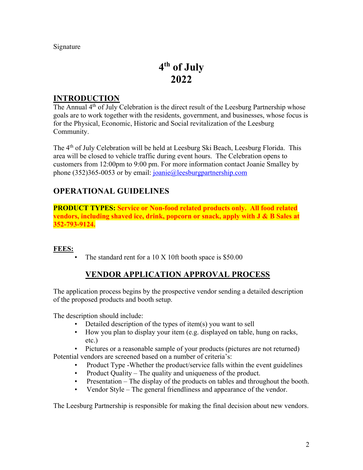Signature

# **4th of July 2022**

#### **INTRODUCTION**

The Annual 4<sup>th</sup> of July Celebration is the direct result of the Leesburg Partnership whose goals are to work together with the residents, government, and businesses, whose focus is for the Physical, Economic, Historic and Social revitalization of the Leesburg Community.

The 4<sup>th</sup> of July Celebration will be held at Leesburg Ski Beach, Leesburg Florida. This area will be closed to vehicle traffic during event hours. The Celebration opens to customers from 12:00pm to 9:00 pm. For more information contact Joanie Smalley by phone (352)365-0053 or by email: joanie@leesburgpartnership.com

## **OPERATIONAL GUIDELINES**

**PRODUCT TYPES: Service or Non-food related products only. All food related vendors, including shaved ice, drink, popcorn or snack, apply with J & B Sales at 352-793-9124.** 

#### **FEES:**

The standard rent for a  $10 \text{ X} 10$ ft booth space is \$50.00

## **VENDOR APPLICATION APPROVAL PROCESS**

The application process begins by the prospective vendor sending a detailed description of the proposed products and booth setup.

The description should include:

- Detailed description of the types of item(s) you want to sell
- How you plan to display your item (e.g. displayed on table, hung on racks, etc.)
- Pictures or a reasonable sample of your products (pictures are not returned)

Potential vendors are screened based on a number of criteria's:

- Product Type -Whether the product/service falls within the event guidelines
- Product Quality The quality and uniqueness of the product.
- Presentation The display of the products on tables and throughout the booth.
- Vendor Style The general friendliness and appearance of the vendor.

The Leesburg Partnership is responsible for making the final decision about new vendors.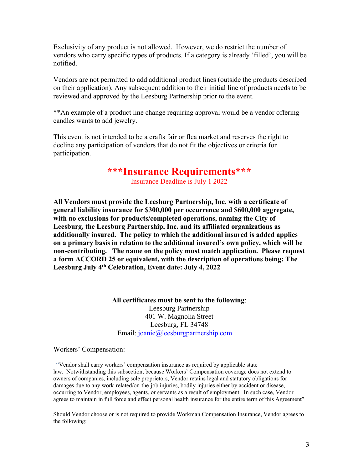Exclusivity of any product is not allowed. However, we do restrict the number of vendors who carry specific types of products. If a category is already 'filled', you will be notified.

Vendors are not permitted to add additional product lines (outside the products described on their application). Any subsequent addition to their initial line of products needs to be reviewed and approved by the Leesburg Partnership prior to the event.

\*\*An example of a product line change requiring approval would be a vendor offering candles wants to add jewelry.

This event is not intended to be a crafts fair or flea market and reserves the right to decline any participation of vendors that do not fit the objectives or criteria for participation.

## **\*\*\*Insurance Requirements\*\*\***

Insurance Deadline is July 1 2022

**All Vendors must provide the Leesburg Partnership, Inc. with a certificate of general liability insurance for \$300,000 per occurrence and \$600,000 aggregate, with no exclusions for products/completed operations, naming the City of Leesburg, the Leesburg Partnership, Inc. and its affiliated organizations as additionally insured. The policy to which the additional insured is added applies on a primary basis in relation to the additional insured's own policy, which will be non-contributing. The name on the policy must match application. Please request a form ACCORD 25 or equivalent, with the description of operations being: The Leesburg July 4th Celebration, Event date: July 4, 2022**

> **All certificates must be sent to the following**: Leesburg Partnership 401 W. Magnolia Street Leesburg, FL 34748 Email: joanie@leesburgpartnership.com

Workers' Compensation:

"Vendor shall carry workers' compensation insurance as required by applicable state law. Notwithstanding this subsection, because Workers' Compensation coverage does not extend to owners of companies, including sole proprietors, Vendor retains legal and statutory obligations for damages due to any work-related/on-the-job injuries, bodily injuries either by accident or disease, occurring to Vendor, employees, agents, or servants as a result of employment. In such case, Vendor agrees to maintain in full force and effect personal health insurance for the entire term of this Agreement"

Should Vendor choose or is not required to provide Workman Compensation Insurance, Vendor agrees to the following: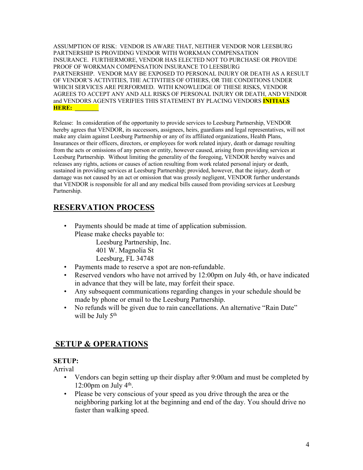ASSUMPTION OF RISK: VENDOR IS AWARE THAT, NEITHER VENDOR NOR LEESBURG PARTNERSHIP IS PROVIDING VENDOR WITH WORKMAN COMPENSATION INSURANCE. FURTHERMORE, VENDOR HAS ELECTED NOT TO PURCHASE OR PROVIDE PROOF OF WORKMAN COMPENSATION INSURANCE TO LEESBURG PARTNERSHIP. VENDOR MAY BE EXPOSED TO PERSONAL INJURY OR DEATH AS A RESULT OF VENDOR'S ACTIVITIES, THE ACTIVITIES OF OTHERS, OR THE CONDITIONS UNDER WHICH SERVICES ARE PERFORMED. WITH KNOWLEDGE OF THESE RISKS, VENDOR AGREES TO ACCEPT ANY AND ALL RISKS OF PERSONAL INJURY OR DEATH, AND VENDOR and VENDORS AGENTS VERIFIES THIS STATEMENT BY PLACING VENDORS **INITIALS HERE: \_\_\_\_\_\_\_\_**

Release: In consideration of the opportunity to provide services to Leesburg Partnership, VENDOR hereby agrees that VENDOR, its successors, assignees, heirs, guardians and legal representatives, will not make any claim against Leesburg Partnership or any of its affiliated organizations, Health Plans, Insurances or their officers, directors, or employees for work related injury, death or damage resulting from the acts or omissions of any person or entity, however caused, arising from providing services at Leesburg Partnership. Without limiting the generality of the foregoing, VENDOR hereby waives and releases any rights, actions or causes of action resulting from work related personal injury or death, sustained in providing services at Leesburg Partnership; provided, however, that the injury, death or damage was not caused by an act or omission that was grossly negligent, VENDOR further understands that VENDOR is responsible for all and any medical bills caused from providing services at Leesburg Partnership.

## **RESERVATION PROCESS**

- Payments should be made at time of application submission. Please make checks payable to: Leesburg Partnership, Inc.
	- 401 W. Magnolia St Leesburg, FL 34748
- Payments made to reserve a spot are non-refundable.
- Reserved vendors who have not arrived by 12:00pm on July 4th, or have indicated in advance that they will be late, may forfeit their space.
- Any subsequent communications regarding changes in your schedule should be made by phone or email to the Leesburg Partnership.
- No refunds will be given due to rain cancellations. An alternative "Rain Date" will be July 5<sup>th</sup>

## **SETUP & OPERATIONS**

#### **SETUP:**

Arrival

- Vendors can begin setting up their display after 9:00am and must be completed by 12:00pm on July  $4<sup>th</sup>$ .
- Please be very conscious of your speed as you drive through the area or the neighboring parking lot at the beginning and end of the day. You should drive no faster than walking speed.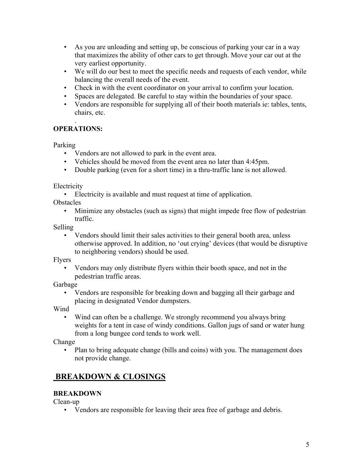- As you are unloading and setting up, be conscious of parking your car in a way that maximizes the ability of other cars to get through. Move your car out at the very earliest opportunity.
- We will do our best to meet the specific needs and requests of each vendor, while balancing the overall needs of the event.
- Check in with the event coordinator on your arrival to confirm your location.
- Spaces are delegated. Be careful to stay within the boundaries of your space.
- Vendors are responsible for supplying all of their booth materials ie: tables, tents, chairs, etc.

#### . **OPERATIONS:**

Parking

- Vendors are not allowed to park in the event area.
- Vehicles should be moved from the event area no later than 4:45pm.
- Double parking (even for a short time) in a thru-traffic lane is not allowed.

**Electricity** 

• Electricity is available and must request at time of application.

**Obstacles** 

• Minimize any obstacles (such as signs) that might impede free flow of pedestrian traffic.

Selling

• Vendors should limit their sales activities to their general booth area, unless otherwise approved. In addition, no 'out crying' devices (that would be disruptive to neighboring vendors) should be used.

Flyers

• Vendors may only distribute flyers within their booth space, and not in the pedestrian traffic areas.

Garbage

• Vendors are responsible for breaking down and bagging all their garbage and placing in designated Vendor dumpsters.

Wind

• Wind can often be a challenge. We strongly recommend you always bring weights for a tent in case of windy conditions. Gallon jugs of sand or water hung from a long bungee cord tends to work well.

Change

• Plan to bring adequate change (bills and coins) with you. The management does not provide change.

## **BREAKDOWN & CLOSINGS**

### **BREAKDOWN**

Clean-up

• Vendors are responsible for leaving their area free of garbage and debris.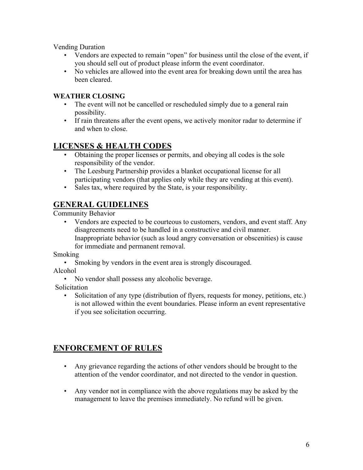Vending Duration

- Vendors are expected to remain "open" for business until the close of the event, if you should sell out of product please inform the event coordinator.
- No vehicles are allowed into the event area for breaking down until the area has been cleared.

#### **WEATHER CLOSING**

- The event will not be cancelled or rescheduled simply due to a general rain possibility.
- If rain threatens after the event opens, we actively monitor radar to determine if and when to close.

## **LICENSES & HEALTH CODES**

- Obtaining the proper licenses or permits, and obeying all codes is the sole responsibility of the vendor.
- The Leesburg Partnership provides a blanket occupational license for all participating vendors (that applies only while they are vending at this event).
- Sales tax, where required by the State, is your responsibility.

## **GENERAL GUIDELINES**

Community Behavior

• Vendors are expected to be courteous to customers, vendors, and event staff. Any disagreements need to be handled in a constructive and civil manner. Inappropriate behavior (such as loud angry conversation or obscenities) is cause for immediate and permanent removal.

Smoking

Smoking by vendors in the event area is strongly discouraged.

Alcohol

• No vendor shall possess any alcoholic beverage.

Solicitation

Solicitation of any type (distribution of flyers, requests for money, petitions, etc.) is not allowed within the event boundaries. Please inform an event representative if you see solicitation occurring.

## **ENFORCEMENT OF RULES**

- Any grievance regarding the actions of other vendors should be brought to the attention of the vendor coordinator, and not directed to the vendor in question.
- Any vendor not in compliance with the above regulations may be asked by the management to leave the premises immediately. No refund will be given.